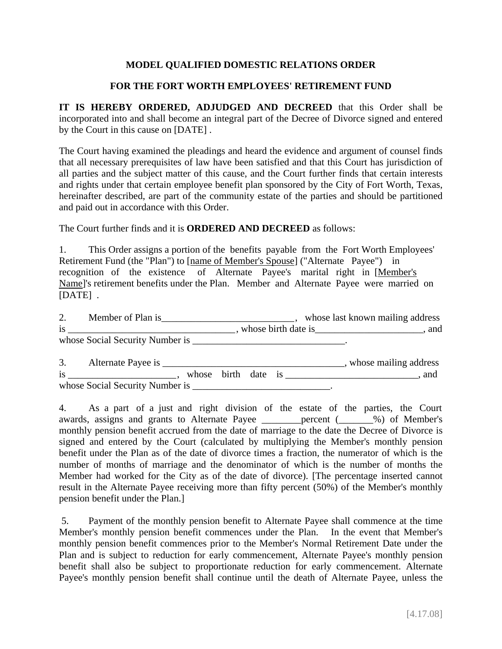## **MODEL QUALIFIED DOMESTIC RELATIONS ORDER**

## **FOR THE FORT WORTH EMPLOYEES' RETIREMENT FUND**

**IT IS HEREBY ORDERED, ADJUDGED AND DECREED** that this Order shall be incorporated into and shall become an integral part of the Decree of Divorce signed and entered by the Court in this cause on [DATE] .

The Court having examined the pleadings and heard the evidence and argument of counsel finds that all necessary prerequisites of law have been satisfied and that this Court has jurisdiction of all parties and the subject matter of this cause, and the Court further finds that certain interests and rights under that certain employee benefit plan sponsored by the City of Fort Worth, Texas, hereinafter described, are part of the community estate of the parties and should be partitioned and paid out in accordance with this Order.

The Court further finds and it is **ORDERED AND DECREED** as follows:

1. This Order assigns a portion of the benefits payable from the Fort Worth Employees' Retirement Fund (the "Plan") to [name of Member's Spouse] ("Alternate Payee") in recognition of the existence of Alternate Payee's marital right in [Member's Name]'s retirement benefits under the Plan. Member and Alternate Payee were married on [DATE] .

2. Member of Plan is \_\_\_\_\_\_\_\_\_\_\_\_\_\_\_\_\_\_\_\_\_\_\_\_\_\_\_\_\_\_\_\_\_, whose last known mailing address is \_\_\_\_\_\_\_\_\_\_\_\_\_\_\_\_\_\_\_\_\_\_\_\_\_\_\_\_\_\_\_\_\_\_ , whose birth date is\_\_\_\_\_\_\_\_\_\_\_\_\_\_\_\_\_\_\_\_\_\_, and whose Social Security Number is \_\_\_\_\_\_\_\_\_\_\_\_\_\_\_\_\_\_\_\_\_\_\_\_\_\_\_\_\_\_\_.

3. Alternate Payee is \_\_\_\_\_\_\_\_\_\_\_\_\_\_\_\_\_\_\_\_\_\_\_\_\_\_\_\_\_\_\_\_\_\_\_\_\_, whose mailing address is \_\_\_\_\_\_\_\_\_\_\_\_\_\_\_\_\_\_\_\_\_\_\_\_\_, whose birth date is \_\_\_\_\_\_\_\_\_\_\_\_\_\_\_\_\_\_\_\_\_\_\_\_\_\_\_\_\_, and whose Social Security Number is \_\_\_\_\_\_\_\_\_\_\_\_\_\_\_\_\_\_\_\_\_\_\_\_\_\_\_\_\_\_\_.

4. As a part of a just and right division of the estate of the parties, the Court awards, assigns and grants to Alternate Payee \_\_\_\_\_\_\_\_percent (\_\_\_\_\_\_\_%) of Member's monthly pension benefit accrued from the date of marriage to the date the Decree of Divorce is signed and entered by the Court (calculated by multiplying the Member's monthly pension benefit under the Plan as of the date of divorce times a fraction, the numerator of which is the number of months of marriage and the denominator of which is the number of months the Member had worked for the City as of the date of divorce). [The percentage inserted cannot result in the Alternate Payee receiving more than fifty percent (50%) of the Member's monthly pension benefit under the Plan.]

 5. Payment of the monthly pension benefit to Alternate Payee shall commence at the time Member's monthly pension benefit commences under the Plan. In the event that Member's monthly pension benefit commences prior to the Member's Normal Retirement Date under the Plan and is subject to reduction for early commencement, Alternate Payee's monthly pension benefit shall also be subject to proportionate reduction for early commencement. Alternate Payee's monthly pension benefit shall continue until the death of Alternate Payee, unless the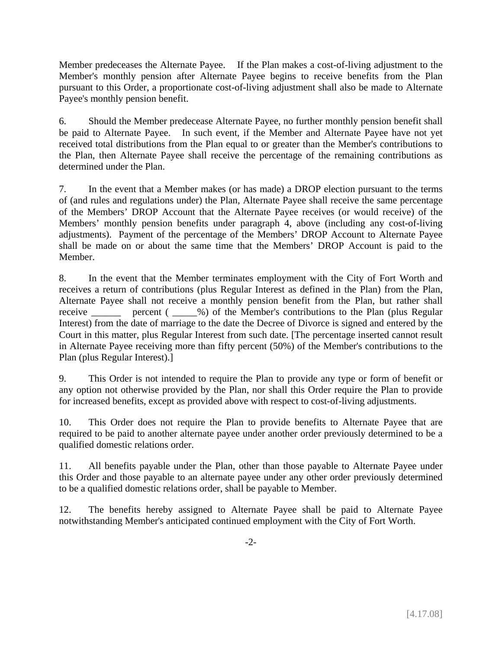Member predeceases the Alternate Payee. If the Plan makes a cost-of-living adjustment to the Member's monthly pension after Alternate Payee begins to receive benefits from the Plan pursuant to this Order, a proportionate cost-of-living adjustment shall also be made to Alternate Payee's monthly pension benefit.

6. Should the Member predecease Alternate Payee, no further monthly pension benefit shall be paid to Alternate Payee. In such event, if the Member and Alternate Payee have not yet received total distributions from the Plan equal to or greater than the Member's contributions to the Plan, then Alternate Payee shall receive the percentage of the remaining contributions as determined under the Plan.

7. In the event that a Member makes (or has made) a DROP election pursuant to the terms of (and rules and regulations under) the Plan, Alternate Payee shall receive the same percentage of the Members' DROP Account that the Alternate Payee receives (or would receive) of the Members' monthly pension benefits under paragraph 4, above (including any cost-of-living adjustments). Payment of the percentage of the Members' DROP Account to Alternate Payee shall be made on or about the same time that the Members' DROP Account is paid to the Member.

8. In the event that the Member terminates employment with the City of Fort Worth and receives a return of contributions (plus Regular Interest as defined in the Plan) from the Plan, Alternate Payee shall not receive a monthly pension benefit from the Plan, but rather shall receive \_\_\_\_\_\_ percent ( \_\_\_\_\_%) of the Member's contributions to the Plan (plus Regular Interest) from the date of marriage to the date the Decree of Divorce is signed and entered by the Court in this matter, plus Regular Interest from such date. [The percentage inserted cannot result in Alternate Payee receiving more than fifty percent (50%) of the Member's contributions to the Plan (plus Regular Interest).]

9. This Order is not intended to require the Plan to provide any type or form of benefit or any option not otherwise provided by the Plan, nor shall this Order require the Plan to provide for increased benefits, except as provided above with respect to cost-of-living adjustments.

10. This Order does not require the Plan to provide benefits to Alternate Payee that are required to be paid to another alternate payee under another order previously determined to be a qualified domestic relations order.

11. All benefits payable under the Plan, other than those payable to Alternate Payee under this Order and those payable to an alternate payee under any other order previously determined to be a qualified domestic relations order, shall be payable to Member.

12. The benefits hereby assigned to Alternate Payee shall be paid to Alternate Payee notwithstanding Member's anticipated continued employment with the City of Fort Worth.